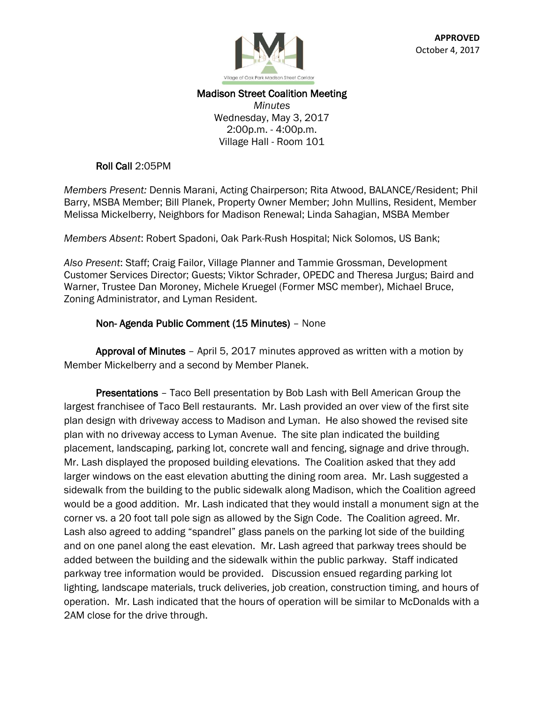

# Madison Street Coalition Meeting

*Minutes* Wednesday, May 3, 2017 2:00p.m. - 4:00p.m. Village Hall - Room 101

#### Roll Call 2:05PM

*Members Present:* Dennis Marani, Acting Chairperson; Rita Atwood, BALANCE/Resident; Phil Barry, MSBA Member; Bill Planek, Property Owner Member; John Mullins, Resident, Member Melissa Mickelberry, Neighbors for Madison Renewal; Linda Sahagian, MSBA Member

*Members Absent*: Robert Spadoni, Oak Park-Rush Hospital; Nick Solomos, US Bank;

*Also Present*: Staff; Craig Failor, Village Planner and Tammie Grossman, Development Customer Services Director; Guests; Viktor Schrader, OPEDC and Theresa Jurgus; Baird and Warner, Trustee Dan Moroney, Michele Kruegel (Former MSC member), Michael Bruce, Zoning Administrator, and Lyman Resident.

### Non- Agenda Public Comment (15 Minutes) – None

 Approval of Minutes – April 5, 2017 minutes approved as written with a motion by Member Mickelberry and a second by Member Planek.

 Presentations – Taco Bell presentation by Bob Lash with Bell American Group the largest franchisee of Taco Bell restaurants. Mr. Lash provided an over view of the first site plan design with driveway access to Madison and Lyman. He also showed the revised site plan with no driveway access to Lyman Avenue. The site plan indicated the building placement, landscaping, parking lot, concrete wall and fencing, signage and drive through. Mr. Lash displayed the proposed building elevations. The Coalition asked that they add larger windows on the east elevation abutting the dining room area. Mr. Lash suggested a sidewalk from the building to the public sidewalk along Madison, which the Coalition agreed would be a good addition. Mr. Lash indicated that they would install a monument sign at the corner vs. a 20 foot tall pole sign as allowed by the Sign Code. The Coalition agreed. Mr. Lash also agreed to adding "spandrel" glass panels on the parking lot side of the building and on one panel along the east elevation. Mr. Lash agreed that parkway trees should be added between the building and the sidewalk within the public parkway. Staff indicated parkway tree information would be provided. Discussion ensued regarding parking lot lighting, landscape materials, truck deliveries, job creation, construction timing, and hours of operation. Mr. Lash indicated that the hours of operation will be similar to McDonalds with a 2AM close for the drive through.